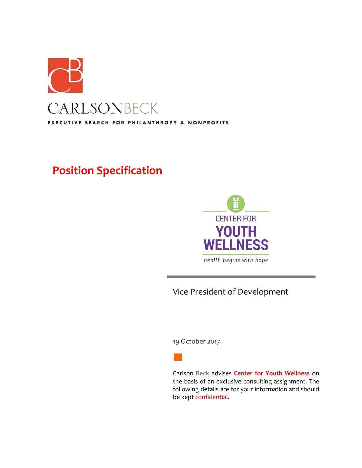

# **Position Specification**



# Vice President of Development

19 October 2017

Carlson **Beck** advises **Center for Youth Wellness** on the basis of an exclusive consulting assignment. The following details are for your information and should be kept confidential.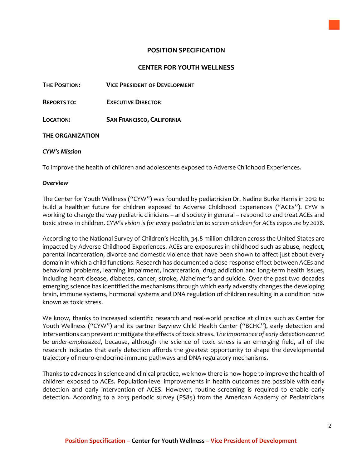# **POSITION SPECIFICATION**

# **CENTER FOR YOUTH WELLNESS**

**THE POSITION: VICE PRESIDENT OF DEVELOPMENT**

**REPORTS TO: EXECUTIVE DIRECTOR**

**LOCATION: SAN FRANCISCO, CALIFORNIA**

#### **THE ORGANIZATION**

#### *CYW's Mission*

To improve the health of children and adolescents exposed to Adverse Childhood Experiences.

#### *Overview*

The Center for Youth Wellness ("CYW") was founded by pediatrician Dr. Nadine Burke Harris in 2012 to build a healthier future for children exposed to Adverse Childhood Experiences ("ACEs"). CYW is working to change the way pediatric clinicians – and society in general -- respond to and treat ACEs and toxic stress in children. *CYW's vision is for every pediatrician to screen children for ACEs exposure by 2028*.

According to the National Survey of Children's Health, 34.8 million children across the United States are impacted by Adverse Childhood Experiences. ACEs are exposures in childhood such as abuse, neglect, parental incarceration, divorce and domestic violence that have been shown to affect just about every domain in which a child functions. Research has documented a dose-response effect between ACEs and behavioral problems, learning impairment, incarceration, drug addiction and long-term health issues, including heart disease, diabetes, cancer, stroke, Alzheimer's and suicide. Over the past two decades emerging science has identified the mechanisms through which early adversity changes the developing brain, immune systems, hormonal systems and DNA regulation of children resulting in a condition now known as toxic stress.

We know, thanks to increased scientific research and real-world practice at clinics such as Center for Youth Wellness ("CYW") and its partner Bayview Child Health Center ("BCHC"), early detection and interventions can prevent or mitigate the effects of toxic stress. *The importance of early detection cannot be under-emphasized*, because, although the science of toxic stress is an emerging field, all of the research indicates that early detection affords the greatest opportunity to shape the developmental trajectory of neuro-endocrine-immune pathways and DNA regulatory mechanisms.

Thanks to advances in science and clinical practice, we know there is now hope to improve the health of children exposed to ACEs. Population-level improvements in health outcomes are possible with early detection and early intervention of ACES. However, routine screening is required to enable early detection. According to a 2013 periodic survey (PS85) from the American Academy of Pediatricians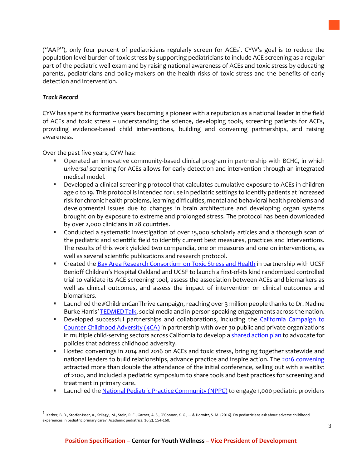("AAP"), only four percent of pediatricians regularly screen for ACEs<sup>1</sup>. CYW's goal is to reduce the population level burden of toxic stress by supporting pediatricians to include ACE screening as a regular part of the pediatric well exam and by raising national awareness of ACEs and toxic stress by educating parents, pediatricians and policy-makers on the health risks of toxic stress and the benefits of early detection and intervention.

# *Track Record*

 $\overline{a}$ 

CYW has spent its formative years becoming a pioneer with a reputation as a national leader in the field of ACEs and toxic stress -- understanding the science, developing tools, screening patients for ACEs, providing evidence-based child interventions, building and convening partnerships, and raising awareness.

Over the past five years, CYW has:

- Operated an innovative community-based clinical program in partnership with BCHC, in which *universal* screening for ACEs allows for early detection and intervention through an integrated medical model.
- Developed a clinical screening protocol that calculates cumulative exposure to ACEs in children age 0 to 19. This protocol is intended for use in pediatric settings to identify patients at increased risk for chronic health problems, learning difficulties, mental and behavioral health problems and developmental issues due to changes in brain architecture and developing organ systems brought on by exposure to extreme and prolonged stress. The protocol has been downloaded by over 2,000 clinicians in 28 countries.
- Conducted a systematic investigation of over 15,000 scholarly articles and a thorough scan of the pediatric and scientific field to identify current best measures, practices and interventions. The results of this work yielded two compendia, one on measures and one on interventions, as well as several scientific publications and research protocol.
- Created the [Bay Area Research Consortium on Toxic Stress and Health](https://chronicleofsocialchange.org/news-2/aces-research-study-hopes-find-missing-link-childhood-adversity) in partnership with UCSF Benioff Children's Hospital Oakland and UCSF to launch a first-of-its kind randomized controlled trial to validate its ACE screening tool, assess the association between ACEs and biomarkers as well as clinical outcomes, and assess the impact of intervention on clinical outcomes and biomarkers.
- **EXECT 1.1 The ACH** the #ChildrenCanThrive campaign, reaching over 3 million people thanks to Dr. Nadine Burke Harris' [TEDMED Talk,](https://www.ted.com/talks/nadine_burke_harris_how_childhood_trauma_affects_health_across_a_lifetime) social media and in-person speaking engagements across the nation.
- **Developed successful partnerships and collaborations, including the California Campaign to** [Counter Childhood Adversity \(4CA\)](http://www.4cakids.org/) in partnership with over 30 public and private organizations in multiple child-serving sectors across California to develop [a shared action plan](https://app.box.com/s/fd9gnls5rsswzo2biepbfiz8m23jy1uk) to advocate for policies that address childhood adversity.
- Hosted convenings in 2014 and 2016 on ACEs and toxic stress, bringing together statewide and national leaders to build relationships, advance practice and inspire action. The [2016 convening](http://www.aces-ca.org/) attracted more than double the attendance of the initial conference, selling out with a waitlist of >100, and included a pediatric symposium to share tools and best practices for screening and treatment in primary care.
- **Exampled the [National Pediatric Practice Community \(NPPC\)](http://nppcaces.org/nppc/) to engage 1,000 pediatric providers**

<sup>1</sup> Kerker, B. D., Storfer-Isser, A., Szilagyi, M., Stein, R. E., Garner, A. S., O'Connor, K. G., … & Horwitz, S. M. (2016). Do pediatricians ask about adverse childhood experiences in pediatric primary care?. Academic pediatrics, 16(2), 154-160.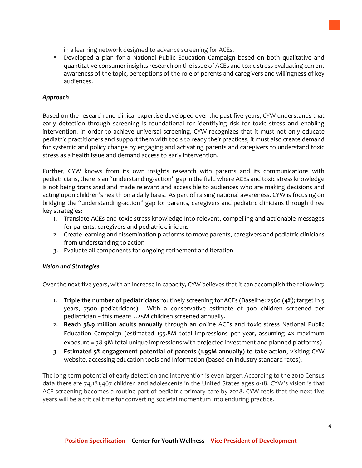in a learning network designed to advance screening for ACEs.

 Developed a plan for a National Public Education Campaign based on both qualitative and quantitative consumer insights research on the issue of ACEs and toxic stress evaluating current awareness of the topic, perceptions of the role of parents and caregivers and willingness of key audiences.

## *Approach*

Based on the research and clinical expertise developed over the past five years, CYW understands that early detection through screening is foundational for identifying risk for toxic stress and enabling intervention. In order to achieve universal screening, CYW recognizes that it must not only educate pediatric practitioners and support them with tools to ready their practices, it must also create demand for systemic and policy change by engaging and activating parents and caregivers to understand toxic stress as a health issue and demand access to early intervention.

Further, CYW knows from its own insights research with parents and its communications with pediatricians, there is an "understanding-action" gap in the field where ACEs and toxic stress knowledge is not being translated and made relevant and accessible to audiences who are making decisions and acting upon children's health on a daily basis. As part of raising national awareness, CYW is focusing on bridging the "understanding-action" gap for parents, caregivers and pediatric clinicians through three key strategies:

- 1. Translate ACEs and toxic stress knowledge into relevant, compelling and actionable messages for parents, caregivers and pediatric clinicians
- 2. Create learning and dissemination platforms to move parents, caregivers and pediatric clinicians from understanding to action
- 3. Evaluate all components for ongoing refinement and iteration

#### *Vision and Strategies*

Over the next five years, with an increase in capacity, CYW believes that it can accomplish the following:

- 1. **Triple the number of pediatricians** routinely screening for ACEs (Baseline: 2560 (4%); target in 5 years, 7500 pediatricians). With a conservative estimate of 300 children screened per pediatrician – this means 2.25M children screened annually.
- 2. **Reach 38.9 million adults annually** through an online ACEs and toxic stress National Public Education Campaign (estimated 155.8M total impressions per year, assuming 4x maximum exposure = 38.9M total unique impressions with projected investment and planned platforms).
- 3. **Estimated 5% engagement potential of parents (1.95M annually) to take action**, visiting CYW website, accessing education tools and information (based on industry standard rates).

The long-term potential of early detection and intervention is even larger. According to the 2010 Census data there are 74,181,467 children and adolescents in the United States ages 0-18. CYW's vision is that ACE screening becomes a routine part of pediatric primary care by 2028. CYW feels that the next five years will be a critical time for converting societal momentum into enduring practice.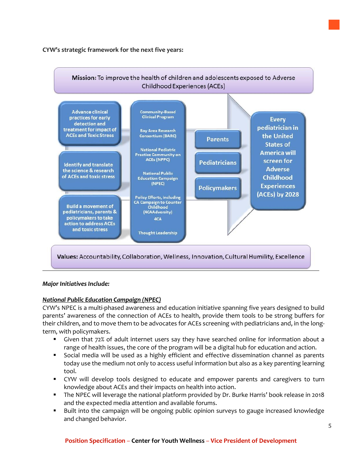#### **CYW's strategic framework for the next five years:**



# *Major Initiatives Include:*

# *National Public Education Campaign (NPEC)*

CYW's NPEC is a multi-phased awareness and education initiative spanning five years designed to build parents' awareness of the connection of ACEs to health, provide them tools to be strong buffers for their children, and to move them to be advocates for ACEs screening with pediatricians and, in the longterm, with policymakers.

- Given that 72% of adult internet users say they have searched online for information about a range of health issues, the core of the program will be a digital hub for education and action.
- Social media will be used as a highly efficient and effective dissemination channel as parents today use the medium not only to access useful information but also as a key parenting learning tool.
- CYW will develop tools designed to educate and empower parents and caregivers to turn knowledge about ACEs and their impacts on health into action.
- The NPEC will leverage the national platform provided by Dr. Burke Harris' book release in 2018 and the expected media attention and available forums.
- Built into the campaign will be ongoing public opinion surveys to gauge increased knowledge and changed behavior.

#### **Position Specification** – **Center for Youth Wellness** – **Vice President of Development**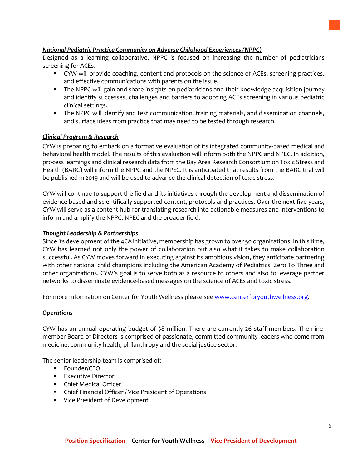## *National Pediatric Practice Community on Adverse Childhood Experiences (NPPC)*

Designed as a learning collaborative, NPPC is focused on increasing the number of pediatricians screening for ACEs.

- CYW will provide coaching, content and protocols on the science of ACEs, screening practices, and effective communications with parents on the issue.
- The NPPC will gain and share insights on pediatricians and their knowledge acquisition journey and identify successes, challenges and barriers to adopting ACEs screening in various pediatric clinical settings.
- **The NPPC will identify and test communication, training materials, and dissemination channels,** and surface ideas from practice that may need to be tested through research.

#### *Clinical Program & Research*

CYW is preparing to embark on a formative evaluation of its integrated community-based medical and behavioral health model. The results of this evaluation will inform both the NPPC and NPEC. In addition, process learnings and clinical research data from the Bay Area Research Consortium on Toxic Stress and Health (BARC) will inform the NPPC and the NPEC. It is anticipated that results from the BARC trial will be published in 2019 and will be used to advance the clinical detection of toxic stress.

CYW will continue to support the field and its initiatives through the development and dissemination of evidence-based and scientifically supported content, protocols and practices. Over the next five years, CYW will serve as a content hub for translating research into actionable measures and interventions to inform and amplify the NPPC, NPEC and the broader field.

#### *Thought Leadership & Partnerships*

Since its development of the 4CA initiative, membership has grown to over 50 organizations. In this time, CYW has learned not only the power of collaboration but also what it takes to make collaboration successful. As CYW moves forward in executing against its ambitious vision, they anticipate partnering with other national child champions including the American Academy of Pediatrics, Zero To Three and other organizations. CYW's goal is to serve both as a resource to others and also to leverage partner networks to disseminate evidence-based messages on the science of ACEs and toxic stress.

For more information on Center for Youth Wellness please see [www.centerforyouthwellness.org.](http://www.centerforyouthwellness.org/)

#### *Operations*

CYW has an annual operating budget of \$8 million. There are currently 26 staff members. The ninemember Board of Directors is comprised of passionate, committed community leaders who come from medicine, community health, philanthropy and the social justice sector.

The senior leadership team is comprised of:

- **Founder/CEO**
- **Executive Director**
- Chief Medical Officer
- Chief Financial Officer / Vice President of Operations
- **Vice President of Development**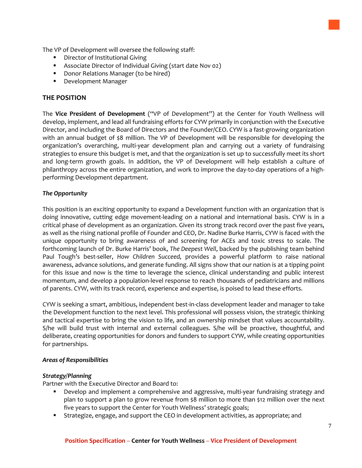The VP of Development will oversee the following staff:

- **•** Director of Institutional Giving
- Associate Director of Individual Giving (start date Nov 02)
- **Donor Relations Manager (to be hired)**
- **Development Manager**

# **THE POSITION**

The **Vice President of Development** ("VP of Development") at the Center for Youth Wellness will develop, implement, and lead all fundraising efforts for CYW primarily in conjunction with the Executive Director, and including the Board of Directors and the Founder/CEO. CYW is a fast-growing organization with an annual budget of \$8 million. The VP of Development will be responsible for developing the organization's overarching, multi-year development plan and carrying out a variety of fundraising strategies to ensure this budget is met, and that the organization is set up to successfully meet its short and long-term growth goals. In addition, the VP of Development will help establish a culture of philanthropy across the entire organization, and work to improve the day-to-day operations of a highperforming Development department.

#### *The Opportunity*

This position is an exciting opportunity to expand a Development function with an organization that is doing innovative, cutting edge movement-leading on a national and international basis. CYW is in a critical phase of development as an organization. Given its strong track record over the past five years, as well as the rising national profile of Founder and CEO, Dr. Nadine Burke Harris, CYW is faced with the unique opportunity to bring awareness of and screening for ACEs and toxic stress to scale. The forthcoming launch of Dr. Burke Harris' book, *The Deepest Well*, backed by the publishing team behind Paul Tough's best-seller, *How Children Succeed,* provides a powerful platform to raise national awareness, advance solutions, and generate funding. All signs show that our nation is at a tipping point for this issue and now is the time to leverage the science, clinical understanding and public interest momentum, and develop a population-level response to reach thousands of pediatricians and millions of parents. CYW, with its track record, experience and expertise, is poised to lead these efforts.

CYW is seeking a smart, ambitious, independent best-in-class development leader and manager to take the Development function to the next level. This professional will possess vision, the strategic thinking and tactical expertise to bring the vision to life, and an ownership mindset that values accountability. S/he will build trust with internal and external colleagues. S/he will be proactive, thoughtful, and deliberate, creating opportunities for donors and funders to support CYW, while creating opportunities for partnerships.

#### *Areas of Responsibilities*

#### *Strategy/Planning*

Partner with the Executive Director and Board to:

- Develop and implement a comprehensive and aggressive, multi-year fundraising strategy and plan to support a plan to grow revenue from \$8 million to more than \$12 million over the next five years to support the Center for Youth Wellness' strategic goals;
- Strategize, engage, and support the CEO in development activities, as appropriate; and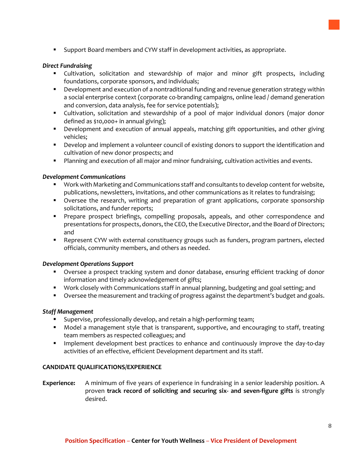Support Board members and CYW staff in development activities, as appropriate.

#### *Direct Fundraising*

- Cultivation, solicitation and stewardship of major and minor gift prospects, including foundations, corporate sponsors, and individuals;
- **•** Development and execution of a nontraditional funding and revenue generation strategy within a social enterprise context (corporate co-branding campaigns, online lead / demand generation and conversion, data analysis, fee for service potentials);
- Cultivation, solicitation and stewardship of a pool of major individual donors (major donor defined as \$10,000+ in annual giving);
- Development and execution of annual appeals, matching gift opportunities, and other giving vehicles;
- Develop and implement a volunteer council of existing donors to support the identification and cultivation of new donor prospects; and
- **Planning and execution of all major and minor fundraising, cultivation activities and events.**

#### *Development Communications*

- Work with Marketing and Communications staff and consultants to develop content for website, publications, newsletters, invitations, and other communications as it relates to fundraising;
- Oversee the research, writing and preparation of grant applications, corporate sponsorship solicitations, and funder reports;
- Prepare prospect briefings, compelling proposals, appeals, and other correspondence and presentations for prospects, donors, the CEO, the Executive Director, and the Board of Directors; and
- **Parage F** Represent CYW with external constituency groups such as funders, program partners, elected officials, community members, and others as needed.

#### *Development Operations Support*

- Oversee a prospect tracking system and donor database, ensuring efficient tracking of donor information and timely acknowledgement of gifts;
- Work closely with Communications staff in annual planning, budgeting and goal setting; and
- **Diversee the measurement and tracking of progress against the department's budget and goals.**

#### *Staff Management*

- **Supervise, professionally develop, and retain a high-performing team;**
- Model a management style that is transparent, supportive, and encouraging to staff, treating team members as respected colleagues; and
- **IMPLEMENTE IMPLEMENT CONTEGRATE:** Implement development best practices to enhance and continuously improve the day-to-day activities of an effective, efficient Development department and its staff.

# **CANDIDATE QUALIFICATIONS/EXPERIENCE**

**Experience:** A minimum of five years of experience in fundraising in a senior leadership position. A proven **track record of soliciting and securing six- and seven-figure gifts** is strongly desired.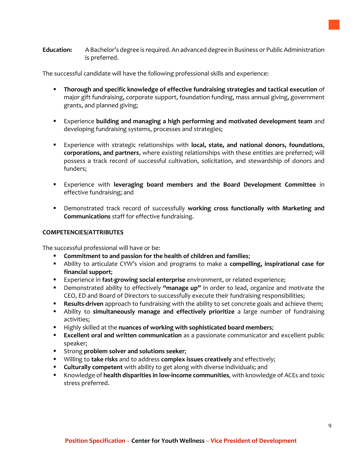The successful candidate will have the following professional skills and experience:

- **Thorough and specific knowledge of effective fundraising strategies and tactical execution** of major gift fundraising, corporate support, foundation funding, mass annual giving, government grants, and planned giving;
- Experience **building and managing a high performing and motivated development team** and developing fundraising systems, processes and strategies;
- Experience with strategic relationships with **local, state, and national donors, foundations**, **corporations, and partners**, where existing relationships with these entities are preferred; will possess a track record of successful cultivation, solicitation, and stewardship of donors and funders;
- Experience with **leveraging board members and the Board Development Committee** in effective fundraising; and
- Demonstrated track record of successfully **working cross functionally with Marketing and Communications** staff for effective fundraising.

## **COMPETENCIES/ATTRIBUTES**

The successful professional will have or be:

- **Commitment to and passion for the health of children and families**;
- Ability to articulate CYW's vision and programs to make a **compelling, inspirational case for financial support**;
- Experience in **fast-growing social enterprise** environment, or related experience;
- Demonstrated ability to effectively **"manage up"** in order to lead, organize and motivate the CEO, ED and Board of Directors to successfully execute their fundraising responsibilities;
- **Results-driven** approach to fundraising with the ability to set concrete goals and achieve them;
- Ability to **simultaneously manage and effectively prioritize** a large number of fundraising activities;
- **Highly skilled at the nuances of working with sophisticated board members;**
- **Excellent oral and written communication** as a passionate communicator and excellent public speaker;
- Strong **problem solver and solutions seeker**;
- Willing to **take risks** and to address **complex issues creatively** and effectively;
- **Culturally competent** with ability to get along with diverse individuals; and
- Knowledge of **health disparities in low-income communities**, with knowledge of ACEs and toxic stress preferred.